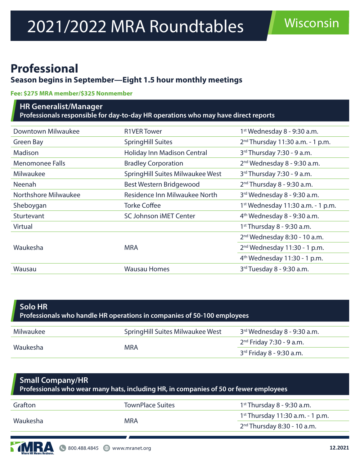# **Professional**

## **Season begins in September—Eight 1.5 hour monthly meetings**

#### **Fee: \$275 MRA member/\$325 Nonmember**

#### **HR Generalist/Manager Professionals responsible for day-to-day HR operations who may have direct reports**

| Downtown Milwaukee     | <b>R1VER Tower</b>               | 1 <sup>st</sup> Wednesday 8 - 9:30 a.m.       |
|------------------------|----------------------------------|-----------------------------------------------|
| Green Bay              | <b>SpringHill Suites</b>         | $2^{nd}$ Thursday 11:30 a.m. - 1 p.m.         |
| <b>Madison</b>         | Holiday Inn Madison Central      | 3rd Thursday 7:30 - 9 a.m.                    |
| <b>Menomonee Falls</b> | <b>Bradley Corporation</b>       | 2 <sup>nd</sup> Wednesday 8 - 9:30 a.m.       |
| Milwaukee              | SpringHill Suites Milwaukee West | 3rd Thursday 7:30 - 9 a.m.                    |
| <b>Neenah</b>          | Best Western Bridgewood          | $2nd$ Thursday 8 - 9:30 a.m.                  |
| Northshore Milwaukee   | Residence Inn Milwaukee North    | 3rd Wednesday 8 - 9:30 a.m.                   |
| Sheboygan              | <b>Torke Coffee</b>              | 1 <sup>st</sup> Wednesday 11:30 a.m. - 1 p.m. |
| <b>Sturtevant</b>      | <b>SC Johnson iMET Center</b>    | $4th$ Wednesday 8 - 9:30 a.m.                 |
| <b>Virtual</b>         |                                  | $1st$ Thursday 8 - 9:30 a.m.                  |
|                        |                                  | 2 <sup>nd</sup> Wednesday 8:30 - 10 a.m.      |
| Waukesha               | <b>MRA</b>                       | 2 <sup>nd</sup> Wednesday 11:30 - 1 p.m.      |
|                        |                                  | $4th$ Wednesday 11:30 - 1 p.m.                |
| Wausau                 | <b>Wausau Homes</b>              | $3rd$ Tuesday 8 - 9:30 a.m.                   |
|                        |                                  |                                               |

| Solo HR<br>Professionals who handle HR operations in companies of 50-100 employees |                                   |                             |  |  |
|------------------------------------------------------------------------------------|-----------------------------------|-----------------------------|--|--|
| Milwaukee                                                                          | Spring Hill Suites Milwaukee West | 3rd Wednesday 8 - 9:30 a.m. |  |  |
| Waukesha                                                                           |                                   | $2nd$ Friday 7:30 - 9 a.m.  |  |  |
|                                                                                    | <b>MRA</b>                        | 3rd Friday 8 - 9:30 a.m.    |  |  |

| <b>Small Company/HR</b><br>Professionals who wear many hats, including HR, in companies of 50 or fewer employees |                         |                                    |  |  |
|------------------------------------------------------------------------------------------------------------------|-------------------------|------------------------------------|--|--|
| Grafton                                                                                                          | <b>TownPlace Suites</b> | $1st$ Thursday 8 - 9:30 a.m.       |  |  |
| Waukesha                                                                                                         | <b>MRA</b>              | $1st$ Thursday 11:30 a.m. - 1 p.m. |  |  |
|                                                                                                                  |                         | $2nd$ Thursday 8:30 - 10 a.m.      |  |  |